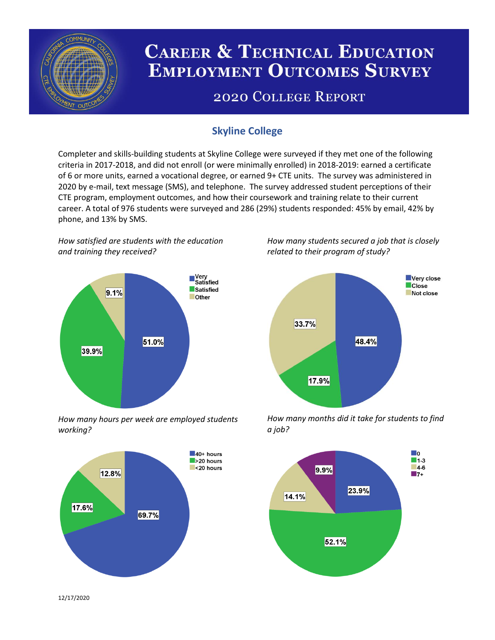

# **CAREER & TECHNICAL EDUCATION EMPLOYMENT OUTCOMES SURVEY**

## **2020 COLLEGE REPORT**

## **Skyline College**

Completer and skills-building students at Skyline College were surveyed if they met one of the following criteria in 2017-2018, and did not enroll (or were minimally enrolled) in 2018-2019: earned a certificate of 6 or more units, earned a vocational degree, or earned 9+ CTE units. The survey was administered in 2020 by e-mail, text message (SMS), and telephone. The survey addressed student perceptions of their CTE program, employment outcomes, and how their coursework and training relate to their current career. A total of 976 students were surveyed and 286 (29%) students responded: 45% by email, 42% by phone, and 13% by SMS.

*How satisfied are students with the education and training they received?*



*How many hours per week are employed students working?*



*How many students secured a job that is closely related to their program of study?*



*How many months did it take for students to find a job?*